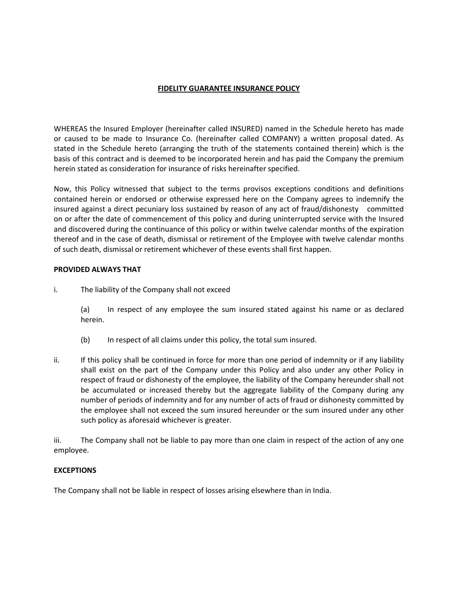# FIDELITY GUARANTEE INSURANCE POLICY

WHEREAS the Insured Employer (hereinafter called INSURED) named in the Schedule hereto has made or caused to be made to Insurance Co. (hereinafter called COMPANY) a written proposal dated. As stated in the Schedule hereto (arranging the truth of the statements contained therein) which is the basis of this contract and is deemed to be incorporated herein and has paid the Company the premium herein stated as consideration for insurance of risks hereinafter specified.

Now, this Policy witnessed that subject to the terms provisos exceptions conditions and definitions contained herein or endorsed or otherwise expressed here on the Company agrees to indemnify the insured against a direct pecuniary loss sustained by reason of any act of fraud/dishonesty committed on or after the date of commencement of this policy and during uninterrupted service with the Insured and discovered during the continuance of this policy or within twelve calendar months of the expiration thereof and in the case of death, dismissal or retirement of the Employee with twelve calendar months of such death, dismissal or retirement whichever of these events shall first happen.

## PROVIDED ALWAYS THAT

i. The liability of the Company shall not exceed

(a) In respect of any employee the sum insured stated against his name or as declared herein.

- (b) In respect of all claims under this policy, the total sum insured.
- ii. If this policy shall be continued in force for more than one period of indemnity or if any liability shall exist on the part of the Company under this Policy and also under any other Policy in respect of fraud or dishonesty of the employee, the liability of the Company hereunder shall not be accumulated or increased thereby but the aggregate liability of the Company during any number of periods of indemnity and for any number of acts of fraud or dishonesty committed by the employee shall not exceed the sum insured hereunder or the sum insured under any other such policy as aforesaid whichever is greater.

iii. The Company shall not be liable to pay more than one claim in respect of the action of any one employee.

## EXCEPTIONS

The Company shall not be liable in respect of losses arising elsewhere than in India.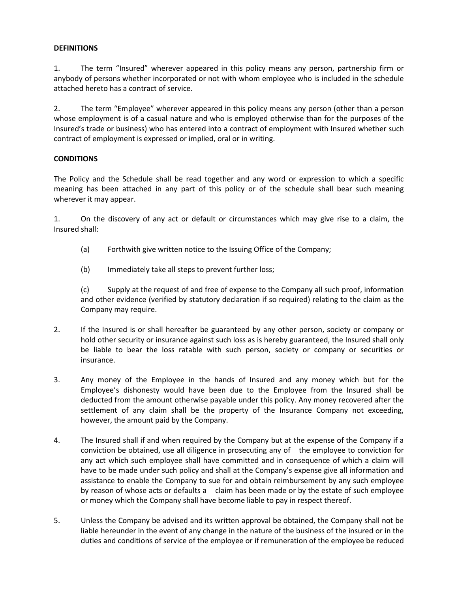## **DEFINITIONS**

1. The term "Insured" wherever appeared in this policy means any person, partnership firm or anybody of persons whether incorporated or not with whom employee who is included in the schedule attached hereto has a contract of service.

2. The term "Employee" wherever appeared in this policy means any person (other than a person whose employment is of a casual nature and who is employed otherwise than for the purposes of the Insured's trade or business) who has entered into a contract of employment with Insured whether such contract of employment is expressed or implied, oral or in writing.

### **CONDITIONS**

The Policy and the Schedule shall be read together and any word or expression to which a specific meaning has been attached in any part of this policy or of the schedule shall bear such meaning wherever it may appear.

1. On the discovery of any act or default or circumstances which may give rise to a claim, the Insured shall:

- (a) Forthwith give written notice to the Issuing Office of the Company;
- (b) Immediately take all steps to prevent further loss;

 (c) Supply at the request of and free of expense to the Company all such proof, information and other evidence (verified by statutory declaration if so required) relating to the claim as the Company may require.

- 2. If the Insured is or shall hereafter be guaranteed by any other person, society or company or hold other security or insurance against such loss as is hereby guaranteed, the Insured shall only be liable to bear the loss ratable with such person, society or company or securities or insurance.
- 3. Any money of the Employee in the hands of Insured and any money which but for the Employee's dishonesty would have been due to the Employee from the Insured shall be deducted from the amount otherwise payable under this policy. Any money recovered after the settlement of any claim shall be the property of the Insurance Company not exceeding, however, the amount paid by the Company.
- 4. The Insured shall if and when required by the Company but at the expense of the Company if a conviction be obtained, use all diligence in prosecuting any of the employee to conviction for any act which such employee shall have committed and in consequence of which a claim will have to be made under such policy and shall at the Company's expense give all information and assistance to enable the Company to sue for and obtain reimbursement by any such employee by reason of whose acts or defaults a claim has been made or by the estate of such employee or money which the Company shall have become liable to pay in respect thereof.
- 5. Unless the Company be advised and its written approval be obtained, the Company shall not be liable hereunder in the event of any change in the nature of the business of the insured or in the duties and conditions of service of the employee or if remuneration of the employee be reduced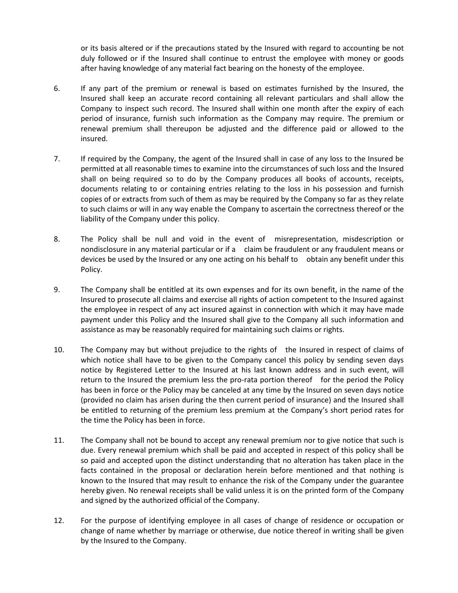or its basis altered or if the precautions stated by the Insured with regard to accounting be not duly followed or if the Insured shall continue to entrust the employee with money or goods after having knowledge of any material fact bearing on the honesty of the employee.

- 6. If any part of the premium or renewal is based on estimates furnished by the Insured, the Insured shall keep an accurate record containing all relevant particulars and shall allow the Company to inspect such record. The Insured shall within one month after the expiry of each period of insurance, furnish such information as the Company may require. The premium or renewal premium shall thereupon be adjusted and the difference paid or allowed to the insured.
- 7. If required by the Company, the agent of the Insured shall in case of any loss to the Insured be permitted at all reasonable times to examine into the circumstances of such loss and the Insured shall on being required so to do by the Company produces all books of accounts, receipts, documents relating to or containing entries relating to the loss in his possession and furnish copies of or extracts from such of them as may be required by the Company so far as they relate to such claims or will in any way enable the Company to ascertain the correctness thereof or the liability of the Company under this policy.
- 8. The Policy shall be null and void in the event of misrepresentation, misdescription or nondisclosure in any material particular or if a claim be fraudulent or any fraudulent means or devices be used by the Insured or any one acting on his behalf to obtain any benefit under this Policy.
- 9. The Company shall be entitled at its own expenses and for its own benefit, in the name of the Insured to prosecute all claims and exercise all rights of action competent to the Insured against the employee in respect of any act insured against in connection with which it may have made payment under this Policy and the Insured shall give to the Company all such information and assistance as may be reasonably required for maintaining such claims or rights.
- 10. The Company may but without prejudice to the rights of the Insured in respect of claims of which notice shall have to be given to the Company cancel this policy by sending seven days notice by Registered Letter to the Insured at his last known address and in such event, will return to the Insured the premium less the pro-rata portion thereof for the period the Policy has been in force or the Policy may be canceled at any time by the Insured on seven days notice (provided no claim has arisen during the then current period of insurance) and the Insured shall be entitled to returning of the premium less premium at the Company's short period rates for the time the Policy has been in force.
- 11. The Company shall not be bound to accept any renewal premium nor to give notice that such is due. Every renewal premium which shall be paid and accepted in respect of this policy shall be so paid and accepted upon the distinct understanding that no alteration has taken place in the facts contained in the proposal or declaration herein before mentioned and that nothing is known to the Insured that may result to enhance the risk of the Company under the guarantee hereby given. No renewal receipts shall be valid unless it is on the printed form of the Company and signed by the authorized official of the Company.
- 12. For the purpose of identifying employee in all cases of change of residence or occupation or change of name whether by marriage or otherwise, due notice thereof in writing shall be given by the Insured to the Company.